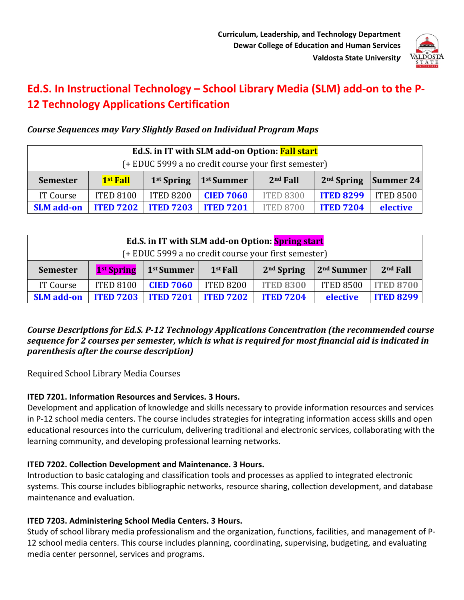

# **Ed.S. In Instructional Technology – School Library Media (SLM) add-on to the P-12 Technology Applications Certification**

# *Course Sequences may Vary Slightly Based on Individual Program Maps*

| Ed.S. in IT with SLM add-on Option: Fall start       |                      |                  |                        |                  |                  |                  |  |  |  |
|------------------------------------------------------|----------------------|------------------|------------------------|------------------|------------------|------------------|--|--|--|
| (+ EDUC 5999 a no credit course your first semester) |                      |                  |                        |                  |                  |                  |  |  |  |
| <b>Semester</b>                                      | 1 <sup>st</sup> Fall | $1st$ Spring     | 1 <sup>st</sup> Summer | $2nd$ Fall       | $2nd$ Spring     | Summer 24        |  |  |  |
| IT Course                                            | <b>ITED 8100</b>     | <b>ITED 8200</b> | <b>CIED 7060</b>       | <b>ITED 8300</b> | <b>ITED 8299</b> | <b>ITED 8500</b> |  |  |  |
| <b>SLM</b> add-on                                    | <b>ITED 7202</b>     | <b>ITED 7203</b> | <b>ITED 7201</b>       | <b>ITED 8700</b> | <b>ITED 7204</b> | elective         |  |  |  |

| Ed.S. in IT with SLM add-on Option: Spring start     |                        |                        |                  |                  |                        |                  |  |  |  |  |
|------------------------------------------------------|------------------------|------------------------|------------------|------------------|------------------------|------------------|--|--|--|--|
| (+ EDUC 5999 a no credit course your first semester) |                        |                        |                  |                  |                        |                  |  |  |  |  |
| <b>Semester</b>                                      | 1 <sup>st</sup> Spring | 1 <sup>st</sup> Summer | $1st$ Fall       | $2nd$ Spring     | 2 <sup>nd</sup> Summer | $2nd$ Fall       |  |  |  |  |
| IT Course                                            | <b>ITED 8100</b>       | <b>CIED 7060</b>       | <b>ITED 8200</b> | <b>ITED 8300</b> | <b>ITED 8500</b>       | <b>ITED 8700</b> |  |  |  |  |
| <b>SLM</b> add-on                                    | <b>ITED 7203</b>       | <b>ITED 7201</b>       | <b>ITED 7202</b> | <b>ITED 7204</b> | <b>elective</b>        | <b>ITED 8299</b> |  |  |  |  |

### Course Descriptions for Ed.S. P-12 Technology Applications Concentration (the recommended course sequence for 2 courses per semester, which is what is required for most financial aid is indicated in *parenthesis after the course description)*

Required School Library Media Courses

### **ITED 7201. Information Resources and Services. 3 Hours.**

Development and application of knowledge and skills necessary to provide information resources and services in P-12 school media centers. The course includes strategies for integrating information access skills and open educational resources into the curriculum, delivering traditional and electronic services, collaborating with the learning community, and developing professional learning networks.

### **ITED 7202. Collection Development and Maintenance. 3 Hours.**

Introduction to basic cataloging and classification tools and processes as applied to integrated electronic systems. This course includes bibliographic networks, resource sharing, collection development, and database maintenance and evaluation.

### **ITED 7203. Administering School Media Centers. 3 Hours.**

Study of school library media professionalism and the organization, functions, facilities, and management of P-12 school media centers. This course includes planning, coordinating, supervising, budgeting, and evaluating media center personnel, services and programs.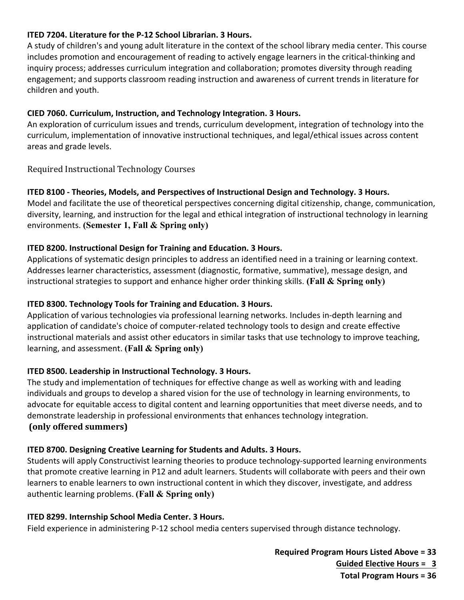### **ITED 7204. Literature for the P-12 School Librarian. 3 Hours.**

A study of children's and young adult literature in the context of the school library media center. This course includes promotion and encouragement of reading to actively engage learners in the critical-thinking and inquiry process; addresses curriculum integration and collaboration; promotes diversity through reading engagement; and supports classroom reading instruction and awareness of current trends in literature for children and youth.

#### **CIED 7060. Curriculum, Instruction, and Technology Integration. 3 Hours.**

An exploration of curriculum issues and trends, curriculum development, integration of technology into the curriculum, implementation of innovative instructional techniques, and legal/ethical issues across content areas and grade levels.

Required Instructional Technology Courses

#### **ITED 8100 - Theories, Models, and Perspectives of Instructional Design and Technology. 3 Hours.**

Model and facilitate the use of theoretical perspectives concerning digital citizenship, change, communication, diversity, learning, and instruction for the legal and ethical integration of instructional technology in learning environments. **(Semester 1, Fall & Spring only)**

#### **ITED 8200. Instructional Design for Training and Education. 3 Hours.**

Applications of systematic design principles to address an identified need in a training or learning context. Addresses learner characteristics, assessment (diagnostic, formative, summative), message design, and instructional strategies to support and enhance higher order thinking skills. **(Fall & Spring only)**

#### **ITED 8300. Technology Tools for Training and Education. 3 Hours.**

Application of various technologies via professional learning networks. Includes in-depth learning and application of candidate's choice of computer-related technology tools to design and create effective instructional materials and assist other educators in similar tasks that use technology to improve teaching, learning, and assessment. **(Fall & Spring only)**

#### **ITED 8500. Leadership in Instructional Technology. 3 Hours.**

The study and implementation of techniques for effective change as well as working with and leading individuals and groups to develop a shared vision for the use of technology in learning environments, to advocate for equitable access to digital content and learning opportunities that meet diverse needs, and to demonstrate leadership in professional environments that enhances technology integration. **(only offered summers)**

### **ITED 8700. Designing Creative Learning for Students and Adults. 3 Hours.**

Students will apply Constructivist learning theories to produce technology-supported learning environments that promote creative learning in P12 and adult learners. Students will collaborate with peers and their own learners to enable learners to own instructional content in which they discover, investigate, and address authentic learning problems. **(Fall & Spring only)**

#### **ITED 8299. Internship School Media Center. 3 Hours.**

Field experience in administering P-12 school media centers supervised through distance technology.

**Required Program Hours Listed Above = 33 Guided Elective Hours = 3 Total Program Hours = 36**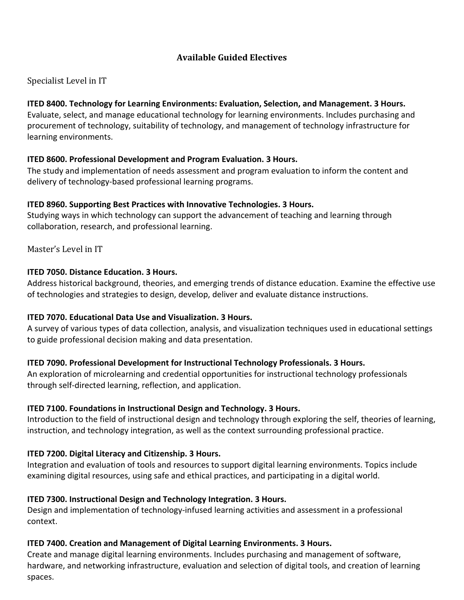### **Available Guided Electives**

### Specialist Level in IT

### **ITED 8400. Technology for Learning Environments: Evaluation, Selection, and Management. 3 Hours.**

Evaluate, select, and manage educational technology for learning environments. Includes purchasing and procurement of technology, suitability of technology, and management of technology infrastructure for learning environments.

### **ITED 8600. Professional Development and Program Evaluation. 3 Hours.**

The study and implementation of needs assessment and program evaluation to inform the content and delivery of technology-based professional learning programs.

### **ITED 8960. Supporting Best Practices with Innovative Technologies. 3 Hours.**

Studying ways in which technology can support the advancement of teaching and learning through collaboration, research, and professional learning.

### Master's Level in IT

### **ITED 7050. Distance Education. 3 Hours.**

Address historical background, theories, and emerging trends of distance education. Examine the effective use of technologies and strategies to design, develop, deliver and evaluate distance instructions.

### **ITED 7070. Educational Data Use and Visualization. 3 Hours.**

A survey of various types of data collection, analysis, and visualization techniques used in educational settings to guide professional decision making and data presentation.

### **ITED 7090. Professional Development for Instructional Technology Professionals. 3 Hours.**

An exploration of microlearning and credential opportunities for instructional technology professionals through self-directed learning, reflection, and application.

### **ITED 7100. Foundations in Instructional Design and Technology. 3 Hours.**

Introduction to the field of instructional design and technology through exploring the self, theories of learning, instruction, and technology integration, as well as the context surrounding professional practice.

### **ITED 7200. Digital Literacy and Citizenship. 3 Hours.**

Integration and evaluation of tools and resources to support digital learning environments. Topics include examining digital resources, using safe and ethical practices, and participating in a digital world.

### **ITED 7300. Instructional Design and Technology Integration. 3 Hours.**

Design and implementation of technology-infused learning activities and assessment in a professional context.

### **ITED 7400. Creation and Management of Digital Learning Environments. 3 Hours.**

Create and manage digital learning environments. Includes purchasing and management of software, hardware, and networking infrastructure, evaluation and selection of digital tools, and creation of learning spaces.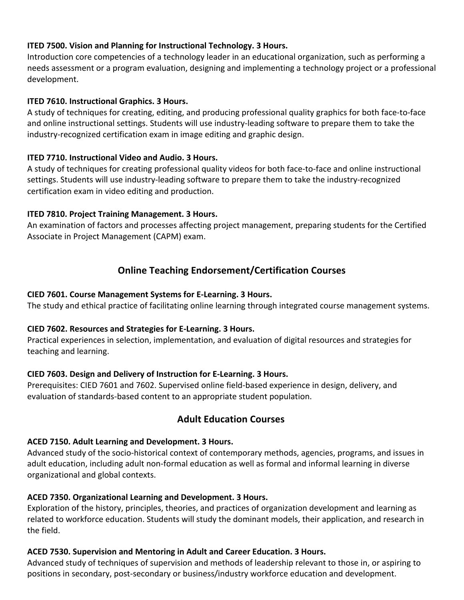### **ITED 7500. Vision and Planning for Instructional Technology. 3 Hours.**

Introduction core competencies of a technology leader in an educational organization, such as performing a needs assessment or a program evaluation, designing and implementing a technology project or a professional development.

#### **ITED 7610. Instructional Graphics. 3 Hours.**

A study of techniques for creating, editing, and producing professional quality graphics for both face-to-face and online instructional settings. Students will use industry-leading software to prepare them to take the industry-recognized certification exam in image editing and graphic design.

### **ITED 7710. Instructional Video and Audio. 3 Hours.**

A study of techniques for creating professional quality videos for both face-to-face and online instructional settings. Students will use industry-leading software to prepare them to take the industry-recognized certification exam in video editing and production.

### **ITED 7810. Project Training Management. 3 Hours.**

An examination of factors and processes affecting project management, preparing students for the Certified Associate in Project Management (CAPM) exam.

# **Online Teaching Endorsement/Certification Courses**

### **CIED 7601. Course Management Systems for E-Learning. 3 Hours.**

The study and ethical practice of facilitating online learning through integrated course management systems.

### **CIED 7602. Resources and Strategies for E-Learning. 3 Hours.**

Practical experiences in selection, implementation, and evaluation of digital resources and strategies for teaching and learning.

### **CIED 7603. Design and Delivery of Instruction for E-Learning. 3 Hours.**

Prerequisites: CIED 7601 and 7602. Supervised online field-based experience in design, delivery, and evaluation of standards-based content to an appropriate student population.

# **Adult Education Courses**

### **ACED 7150. Adult Learning and Development. 3 Hours.**

Advanced study of the socio-historical context of contemporary methods, agencies, programs, and issues in adult education, including adult non-formal education as well as formal and informal learning in diverse organizational and global contexts.

### **ACED 7350. Organizational Learning and Development. 3 Hours.**

Exploration of the history, principles, theories, and practices of organization development and learning as related to workforce education. Students will study the dominant models, their application, and research in the field.

### **ACED 7530. Supervision and Mentoring in Adult and Career Education. 3 Hours.**

Advanced study of techniques of supervision and methods of leadership relevant to those in, or aspiring to positions in secondary, post-secondary or business/industry workforce education and development.